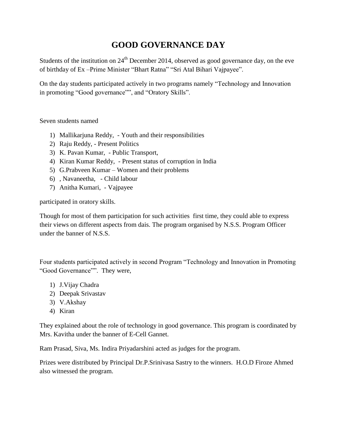## **GOOD GOVERNANCE DAY**

Students of the institution on  $24<sup>th</sup>$  December 2014, observed as good governance day, on the eve of birthday of Ex –Prime Minister "Bhart Ratna" "Sri Atal Bihari Vajpayee".

On the day students participated actively in two programs namely "Technology and Innovation in promoting "Good governance"", and "Oratory Skills".

Seven students named

- 1) Mallikarjuna Reddy, Youth and their responsibilities
- 2) Raju Reddy, Present Politics
- 3) K. Pavan Kumar, Public Transport,
- 4) Kiran Kumar Reddy, Present status of corruption in India
- 5) G.Prabveen Kumar Women and their problems
- 6) , Navaneetha, Child labour
- 7) Anitha Kumari, Vajpayee

participated in oratory skills.

Though for most of them participation for such activities first time, they could able to express their views on different aspects from dais. The program organised by N.S.S. Program Officer under the banner of N.S.S.

Four students participated actively in second Program "Technology and Innovation in Promoting "Good Governance"". They were,

- 1) J.Vijay Chadra
- 2) Deepak Srivastav
- 3) V.Akshay
- 4) Kiran

They explained about the role of technology in good governance. This program is coordinated by Mrs. Kavitha under the banner of E-Cell Gannet.

Ram Prasad, Siva, Ms. Indira Priyadarshini acted as judges for the program.

Prizes were distributed by Principal Dr.P.Srinivasa Sastry to the winners. H.O.D Firoze Ahmed also witnessed the program.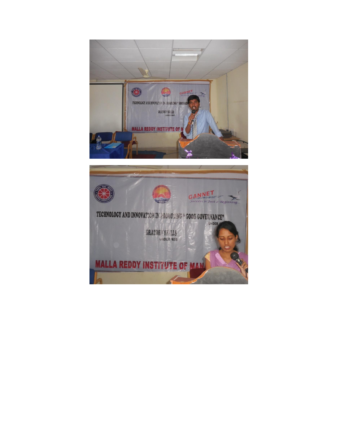

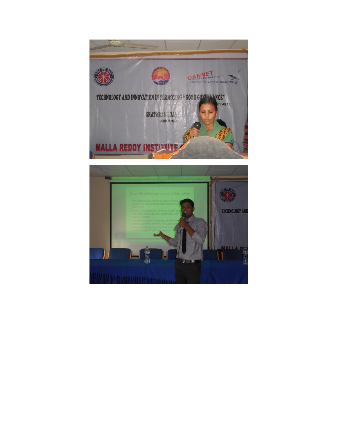